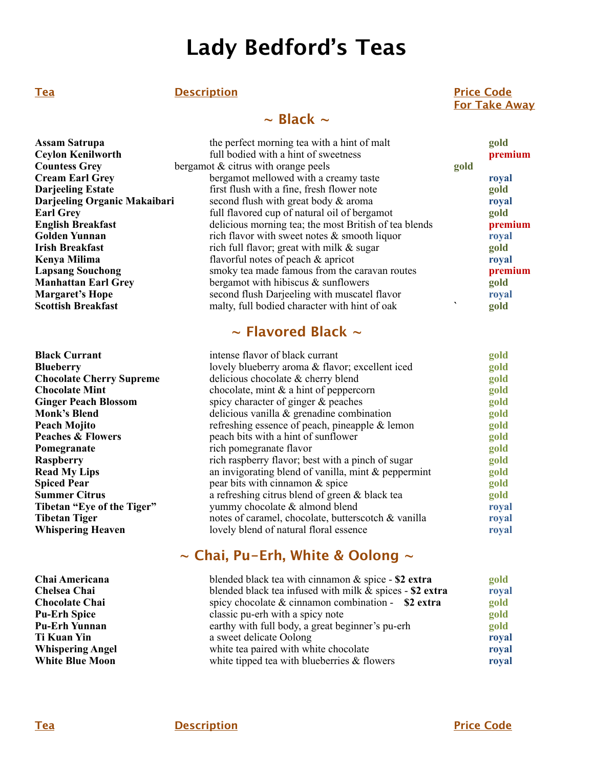# **Lady Bedford's Teas**

#### **Tea
Description
Price Code**

## **~ Black ~**

#### **Assam Satrupa the perfect morning tea with a hint of malt gold gold ceylon Kenilworth full bodied with a hint of sweetness premium Ceylon Kenilworth full bodied with a hint of sweetness**<br>**Countess Grey bergamot & citrus with orange peels Countess Grey** bergamot & citrus with orange peels gold<br> **Cream Earl Grev** bergamot mellowed with a creamy taste **Coream Earl Green Early Early Early Early Early Early Early Early Early Early Early Early Early Early Early Early Early Early Early Early Early Early Early Early Early Early Early Early Early Early Early Early Early Early Darjeeling Estate first flush with a fine, fresh flower note gold Darjeeling Organic Makaibari** second flush with great body & aroma **royal Earl Grey Earl Grey full flavored cup of natural oil of bergamot gold English Breakfast prem delicious morning tea**; the most British of tea blends **prem English Breakfast delicious morning tea; the most British of tea blends premium**<br> **Golden Yunnan proval priori in the most and the most British of tea blends proval proval Golden Yunnan rich flavor with sweet notes & smooth liquor royal rish Breakfast right rich full flavor**; great with milk & sugar **right right right right right right right right right right r** rich full flavor; great with milk & sugar **Kenya Milima** *flavorful notes of peach & apricot* **<b>royal** *royal* **Lapsang Souchong** smoky tea made famous from the caravan routes **premium**<br> **Manhattan Earl Grey** bergamot with hibiscus & sunflowers **premium premium Manhattan Earl Grey** bergamot with hibiscus & sunflowers **butter and in the second flush** Darjeeling with muscatel flavor **butter conditional** royal second flush Darjeeling with muscatel flavor **Margaret's Hope Second flush Darjeeling with muscatel flavor royal**<br>**Scottish Breakfast roughly mail and mail in the second flush of oak roughly** malty, full bodied character with hint of oak **gold**

# **~ Flavored Black ~**

| <b>Black Currant</b>                                                  | intense flavor of black currant                        |       |
|-----------------------------------------------------------------------|--------------------------------------------------------|-------|
| <b>Blueberry</b>                                                      | lovely blueberry aroma & flavor; excellent iced        |       |
| <b>Chocolate Cherry Supreme</b>                                       | delicious chocolate & cherry blend                     | gold  |
| <b>Chocolate Mint</b>                                                 | chocolate, mint $\&$ a hint of peppercorn              | gold  |
| spicy character of ginger $\&$ peaches<br><b>Ginger Peach Blossom</b> |                                                        | gold  |
| <b>Monk's Blend</b>                                                   | delicious vanilla $\&$ grenadine combination           | gold  |
| Peach Mojito                                                          | refreshing essence of peach, pineapple $\&$ lemon      | gold  |
| <b>Peaches &amp; Flowers</b>                                          | peach bits with a hint of sunflower                    | gold  |
| Pomegranate                                                           | rich pomegranate flavor                                | gold  |
| <b>Raspberry</b>                                                      | rich raspberry flavor; best with a pinch of sugar      | gold  |
| <b>Read My Lips</b>                                                   | an invigorating blend of vanilla, mint $\&$ peppermint | gold  |
| <b>Spiced Pear</b>                                                    | pear bits with cinnamon & spice                        | gold  |
| Summer Citrus                                                         | a refreshing citrus blend of green & black tea         | gold  |
| Tibetan "Eye of the Tiger"                                            | yummy chocolate & almond blend                         | royal |
| Tibetan Tiger                                                         | notes of caramel, chocolate, butterscotch & vanilla    | royal |
| <b>Whispering Heaven</b>                                              | lovely blend of natural floral essence                 | royal |
|                                                                       |                                                        |       |

# **~ Chai, Pu-Erh, White & Oolong ~**

| Chai Americana          | blended black tea with cinnamon $&$ spice - \$2 extra<br>blended black tea infused with milk $&$ spices - \$2 extra |       |
|-------------------------|---------------------------------------------------------------------------------------------------------------------|-------|
| Chelsea Chai            |                                                                                                                     |       |
| <b>Chocolate Chai</b>   | spicy chocolate $&$ cinnamon combination - \$2 extra                                                                | gold  |
| <b>Pu-Erh Spice</b>     | classic pu-erh with a spicy note                                                                                    |       |
| Pu-Erh Yunnan           | earthy with full body, a great beginner's pu-erh                                                                    |       |
| Ti Kuan Yin             | a sweet delicate Oolong                                                                                             | royal |
| <b>Whispering Angel</b> | white tea paired with white chocolate                                                                               | royal |
| <b>White Blue Moon</b>  | white tipped tea with blueberries $\&$ flowers                                                                      | royal |

 **For Take Away**